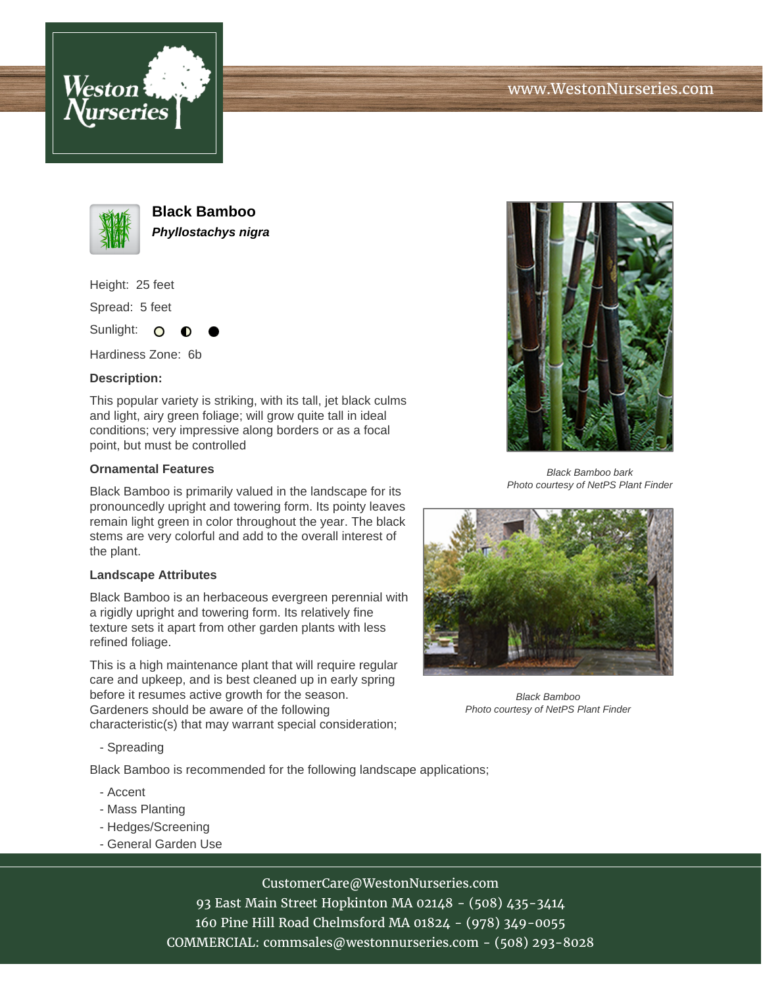





**Black Bamboo Phyllostachys nigra**

Height: 25 feet

Spread: 5 feet

Sunlight: O

Hardiness Zone: 6b

## **Description:**

This popular variety is striking, with its tall, jet black culms and light, airy green foliage; will grow quite tall in ideal conditions; very impressive along borders or as a focal point, but must be controlled

## **Ornamental Features**

Black Bamboo is primarily valued in the landscape for its pronouncedly upright and towering form. Its pointy leaves remain light green in color throughout the year. The black stems are very colorful and add to the overall interest of the plant.

## **Landscape Attributes**

Black Bamboo is an herbaceous evergreen perennial with a rigidly upright and towering form. Its relatively fine texture sets it apart from other garden plants with less refined foliage.

This is a high maintenance plant that will require regular care and upkeep, and is best cleaned up in early spring before it resumes active growth for the season. Gardeners should be aware of the following characteristic(s) that may warrant special consideration;

- Spreading

Black Bamboo is recommended for the following landscape applications;

- Accent
- Mass Planting
- Hedges/Screening
- General Garden Use



93 East Main Street Hopkinton MA 02148 - (508) 435-3414 160 Pine Hill Road Chelmsford MA 01824 - (978) 349-0055 COMMERCIAL: commsales@westonnurseries.com - (508) 293-8028



Black Bamboo bark Photo courtesy of NetPS Plant Finder



Black Bamboo Photo courtesy of NetPS Plant Finder